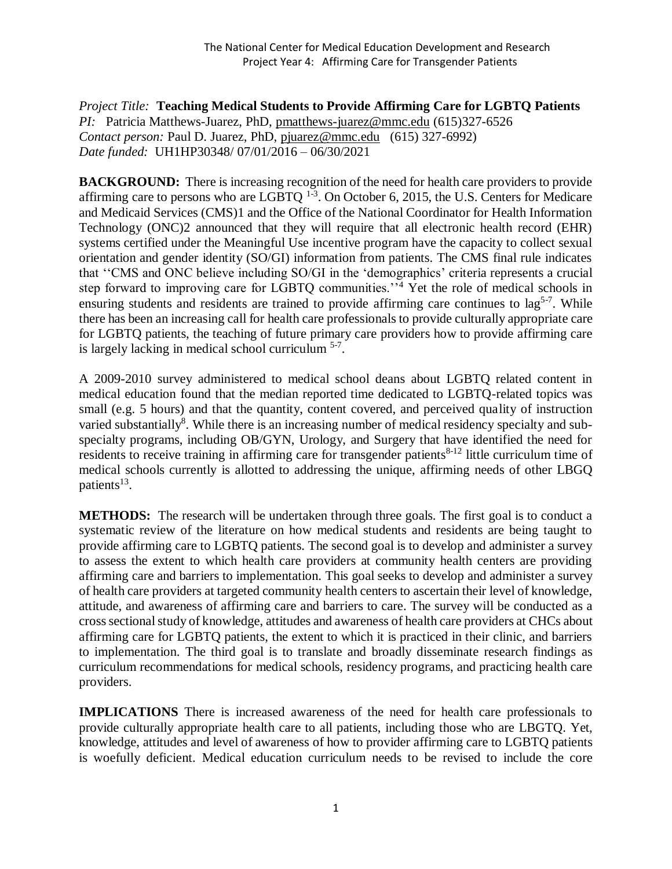*Project Title:* **Teaching Medical Students to Provide Affirming Care for LGBTQ Patients** *PI:* Patricia Matthews-Juarez, PhD, [pmatthews-juarez@mmc.edu](mailto:pmatthews-juarez@mmc.edu) (615)327-6526 *Contact person:* Paul D. Juarez, PhD, [pjuarez@mmc.edu](mailto:pjuarez@mmc.edu) (615) 327-6992) *Date funded:* UH1HP30348/ 07/01/2016 – 06/30/2021

**BACKGROUND:** There is increasing recognition of the need for health care providers to provide affirming care to persons who are LGBTQ  $^{1-3}$ . On October 6, 2015, the U.S. Centers for Medicare and Medicaid Services (CMS)1 and the Office of the National Coordinator for Health Information Technology (ONC)2 announced that they will require that all electronic health record (EHR) systems certified under the Meaningful Use incentive program have the capacity to collect sexual orientation and gender identity (SO/GI) information from patients. The CMS final rule indicates that ''CMS and ONC believe including SO/GI in the 'demographics' criteria represents a crucial step forward to improving care for LGBTQ communities.<sup>54</sup> Yet the role of medical schools in ensuring students and residents are trained to provide affirming care continues to  $\log^{5-7}$ . While there has been an increasing call for health care professionals to provide culturally appropriate care for LGBTQ patients, the teaching of future primary care providers how to provide affirming care is largely lacking in medical school curriculum <sup>5-7</sup>.

A 2009-2010 survey administered to medical school deans about LGBTQ related content in medical education found that the median reported time dedicated to LGBTQ-related topics was small (e.g. 5 hours) and that the quantity, content covered, and perceived quality of instruction varied substantially<sup>8</sup>. While there is an increasing number of medical residency specialty and subspecialty programs, including OB/GYN, Urology, and Surgery that have identified the need for residents to receive training in affirming care for transgender patients $8-12$  little curriculum time of medical schools currently is allotted to addressing the unique, affirming needs of other LBGQ patients<sup>13</sup>.

**METHODS:** The research will be undertaken through three goals. The first goal is to conduct a systematic review of the literature on how medical students and residents are being taught to provide affirming care to LGBTQ patients. The second goal is to develop and administer a survey to assess the extent to which health care providers at community health centers are providing affirming care and barriers to implementation. This goal seeks to develop and administer a survey of health care providers at targeted community health centers to ascertain their level of knowledge, attitude, and awareness of affirming care and barriers to care. The survey will be conducted as a cross sectional study of knowledge, attitudes and awareness of health care providers at CHCs about affirming care for LGBTQ patients, the extent to which it is practiced in their clinic, and barriers to implementation. The third goal is to translate and broadly disseminate research findings as curriculum recommendations for medical schools, residency programs, and practicing health care providers.

**IMPLICATIONS** There is increased awareness of the need for health care professionals to provide culturally appropriate health care to all patients, including those who are LBGTQ. Yet, knowledge, attitudes and level of awareness of how to provider affirming care to LGBTQ patients is woefully deficient. Medical education curriculum needs to be revised to include the core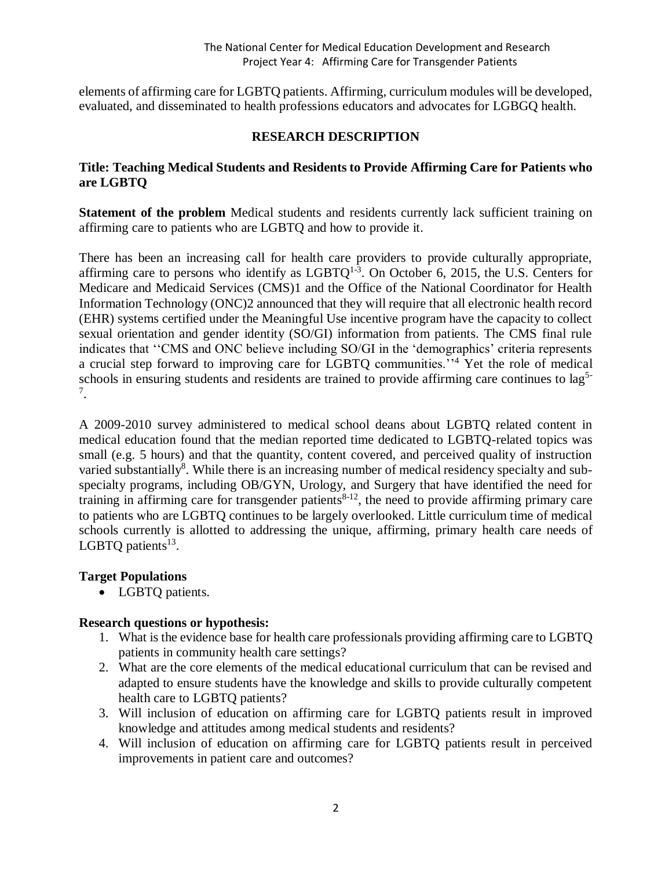elements of affirming care for LGBTQ patients. Affirming, curriculum modules will be developed, evaluated, and disseminated to health professions educators and advocates for LGBGQ health.

### **RESEARCH DESCRIPTION**

### **Title: Teaching Medical Students and Residents to Provide Affirming Care for Patients who are LGBTQ**

**Statement of the problem** Medical students and residents currently lack sufficient training on affirming care to patients who are LGBTQ and how to provide it.

There has been an increasing call for health care providers to provide culturally appropriate, affirming care to persons who identify as  $LGBTQ^{1-3}$ . On October 6, 2015, the U.S. Centers for Medicare and Medicaid Services (CMS)1 and the Office of the National Coordinator for Health Information Technology (ONC)2 announced that they will require that all electronic health record (EHR) systems certified under the Meaningful Use incentive program have the capacity to collect sexual orientation and gender identity (SO/GI) information from patients. The CMS final rule indicates that ''CMS and ONC believe including SO/GI in the 'demographics' criteria represents a crucial step forward to improving care for LGBTQ communities.''<sup>4</sup> Yet the role of medical schools in ensuring students and residents are trained to provide affirming care continues to lag<sup>5-</sup> 7 .

A 2009-2010 survey administered to medical school deans about LGBTQ related content in medical education found that the median reported time dedicated to LGBTQ-related topics was small (e.g. 5 hours) and that the quantity, content covered, and perceived quality of instruction varied substantially<sup>8</sup>. While there is an increasing number of medical residency specialty and subspecialty programs, including OB/GYN, Urology, and Surgery that have identified the need for training in affirming care for transgender patients $8-12$ , the need to provide affirming primary care to patients who are LGBTQ continues to be largely overlooked. Little curriculum time of medical schools currently is allotted to addressing the unique, affirming, primary health care needs of LGBTQ patients $^{13}$ .

### **Target Populations**

• LGBTQ patients.

### **Research questions or hypothesis:**

- 1. What is the evidence base for health care professionals providing affirming care to LGBTQ patients in community health care settings?
- 2. What are the core elements of the medical educational curriculum that can be revised and adapted to ensure students have the knowledge and skills to provide culturally competent health care to LGBTQ patients?
- 3. Will inclusion of education on affirming care for LGBTQ patients result in improved knowledge and attitudes among medical students and residents?
- 4. Will inclusion of education on affirming care for LGBTQ patients result in perceived improvements in patient care and outcomes?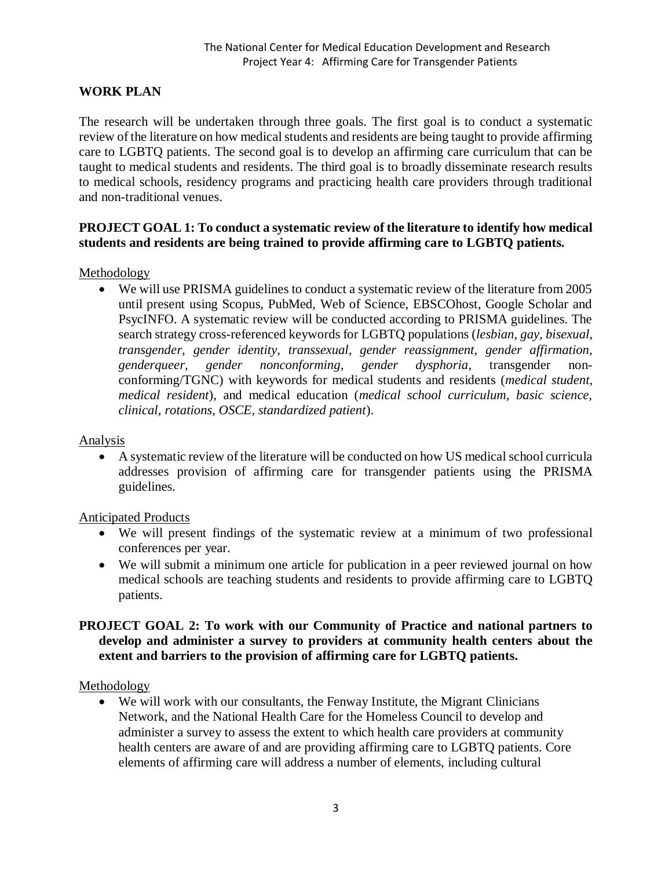# **WORK PLAN**

The research will be undertaken through three goals. The first goal is to conduct a systematic review of the literature on how medical students and residents are being taught to provide affirming care to LGBTQ patients. The second goal is to develop an affirming care curriculum that can be taught to medical students and residents. The third goal is to broadly disseminate research results to medical schools, residency programs and practicing health care providers through traditional and non-traditional venues.

### **PROJECT GOAL 1: To conduct a systematic review of the literature to identify how medical students and residents are being trained to provide affirming care to LGBTQ patients.**

Methodology

 We will use PRISMA guidelines to conduct a systematic review of the literature from 2005 until present using Scopus, PubMed, Web of Science, EBSCOhost, Google Scholar and PsycINFO. A systematic review will be conducted according to PRISMA guidelines. The search strategy cross-referenced keywords for LGBTQ populations (*lesbian, gay, bisexual, transgender, gender identity, transsexual, gender reassignment, gender affirmation, genderqueer, gender nonconforming, gender dysphoria,* transgender nonconforming/TGNC) with keywords for medical students and residents (*medical student, medical resident*), and medical education (*medical school curriculum, basic science, clinical, rotations, OSCE, standardized patient*).

#### **Analysis**

 A systematic review of the literature will be conducted on how US medical school curricula addresses provision of affirming care for transgender patients using the PRISMA guidelines.

#### Anticipated Products

- We will present findings of the systematic review at a minimum of two professional conferences per year.
- We will submit a minimum one article for publication in a peer reviewed journal on how medical schools are teaching students and residents to provide affirming care to LGBTQ patients.

### **PROJECT GOAL 2: To work with our Community of Practice and national partners to develop and administer a survey to providers at community health centers about the extent and barriers to the provision of affirming care for LGBTQ patients.**

Methodology

 We will work with our consultants, the Fenway Institute, the Migrant Clinicians Network, and the National Health Care for the Homeless Council to develop and administer a survey to assess the extent to which health care providers at community health centers are aware of and are providing affirming care to LGBTQ patients. Core elements of affirming care will address a number of elements, including cultural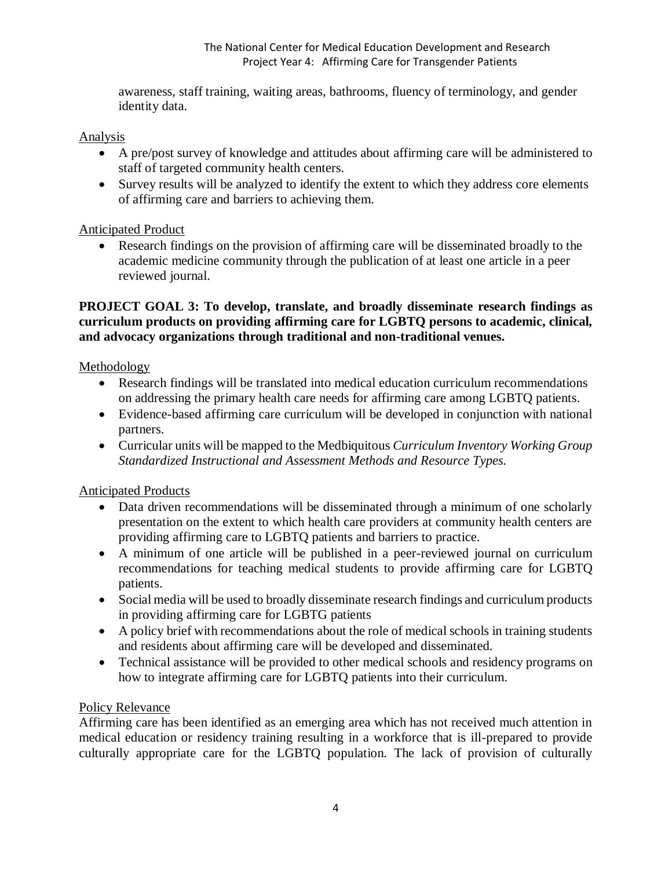awareness, staff training, waiting areas, bathrooms, fluency of terminology, and gender identity data.

### Analysis

- A pre/post survey of knowledge and attitudes about affirming care will be administered to staff of targeted community health centers.
- Survey results will be analyzed to identify the extent to which they address core elements of affirming care and barriers to achieving them.

## Anticipated Product

 Research findings on the provision of affirming care will be disseminated broadly to the academic medicine community through the publication of at least one article in a peer reviewed journal.

### **PROJECT GOAL 3: To develop, translate, and broadly disseminate research findings as curriculum products on providing affirming care for LGBTQ persons to academic, clinical, and advocacy organizations through traditional and non-traditional venues.**

## Methodology

- Research findings will be translated into medical education curriculum recommendations on addressing the primary health care needs for affirming care among LGBTQ patients.
- Evidence-based affirming care curriculum will be developed in conjunction with national partners.
- Curricular units will be mapped to the Medbiquitous *Curriculum Inventory Working Group Standardized Instructional and Assessment Methods and Resource Types.*

# Anticipated Products

- Data driven recommendations will be disseminated through a minimum of one scholarly presentation on the extent to which health care providers at community health centers are providing affirming care to LGBTQ patients and barriers to practice.
- A minimum of one article will be published in a peer-reviewed journal on curriculum recommendations for teaching medical students to provide affirming care for LGBTQ patients.
- Social media will be used to broadly disseminate research findings and curriculum products in providing affirming care for LGBTG patients
- A policy brief with recommendations about the role of medical schools in training students and residents about affirming care will be developed and disseminated.
- Technical assistance will be provided to other medical schools and residency programs on how to integrate affirming care for LGBTQ patients into their curriculum.

# Policy Relevance

Affirming care has been identified as an emerging area which has not received much attention in medical education or residency training resulting in a workforce that is ill-prepared to provide culturally appropriate care for the LGBTQ population. The lack of provision of culturally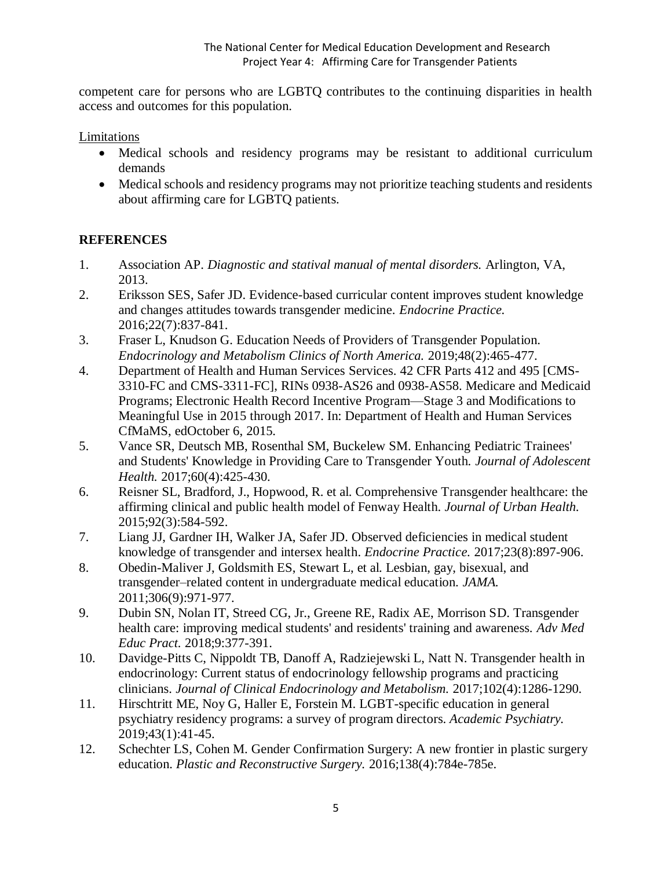competent care for persons who are LGBTQ contributes to the continuing disparities in health access and outcomes for this population.

Limitations

- Medical schools and residency programs may be resistant to additional curriculum demands
- Medical schools and residency programs may not prioritize teaching students and residents about affirming care for LGBTQ patients.

## **REFERENCES**

- 1. Association AP. *Diagnostic and statival manual of mental disorders.* Arlington, VA, 2013.
- 2. Eriksson SES, Safer JD. Evidence-based curricular content improves student knowledge and changes attitudes towards transgender medicine. *Endocrine Practice.*  2016;22(7):837-841.
- 3. Fraser L, Knudson G. Education Needs of Providers of Transgender Population. *Endocrinology and Metabolism Clinics of North America.* 2019;48(2):465-477.
- 4. Department of Health and Human Services Services. 42 CFR Parts 412 and 495 [CMS-3310-FC and CMS-3311-FC], RINs 0938-AS26 and 0938-AS58. Medicare and Medicaid Programs; Electronic Health Record Incentive Program—Stage 3 and Modifications to Meaningful Use in 2015 through 2017. In: Department of Health and Human Services CfMaMS, edOctober 6, 2015.
- 5. Vance SR, Deutsch MB, Rosenthal SM, Buckelew SM. Enhancing Pediatric Trainees' and Students' Knowledge in Providing Care to Transgender Youth. *Journal of Adolescent Health.* 2017;60(4):425-430.
- 6. Reisner SL, Bradford, J., Hopwood, R. et al. Comprehensive Transgender healthcare: the affirming clinical and public health model of Fenway Health. *Journal of Urban Health.*  2015;92(3):584-592.
- 7. Liang JJ, Gardner IH, Walker JA, Safer JD. Observed deficiencies in medical student knowledge of transgender and intersex health. *Endocrine Practice.* 2017;23(8):897-906.
- 8. Obedin-Maliver J, Goldsmith ES, Stewart L, et al. Lesbian, gay, bisexual, and transgender–related content in undergraduate medical education. *JAMA.*  2011;306(9):971-977.
- 9. Dubin SN, Nolan IT, Streed CG, Jr., Greene RE, Radix AE, Morrison SD. Transgender health care: improving medical students' and residents' training and awareness. *Adv Med Educ Pract.* 2018;9:377-391.
- 10. Davidge-Pitts C, Nippoldt TB, Danoff A, Radziejewski L, Natt N. Transgender health in endocrinology: Current status of endocrinology fellowship programs and practicing clinicians. *Journal of Clinical Endocrinology and Metabolism.* 2017;102(4):1286-1290.
- 11. Hirschtritt ME, Noy G, Haller E, Forstein M. LGBT-specific education in general psychiatry residency programs: a survey of program directors. *Academic Psychiatry.*  2019;43(1):41-45.
- 12. Schechter LS, Cohen M. Gender Confirmation Surgery: A new frontier in plastic surgery education. *Plastic and Reconstructive Surgery.* 2016;138(4):784e-785e.